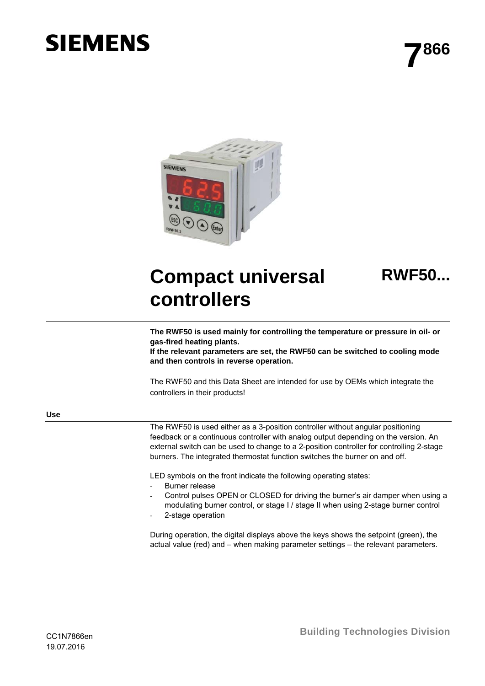# **SIEMENS**



## **Compact universal controllers**

**RWF50...**

**The RWF50 is used mainly for controlling the temperature or pressure in oil- or gas-fired heating plants.** 

**If the relevant parameters are set, the RWF50 can be switched to cooling mode and then controls in reverse operation.** 

The RWF50 and this Data Sheet are intended for use by OEMs which integrate the controllers in their products!

**Use** 

The RWF50 is used either as a 3-position controller without angular positioning feedback or a continuous controller with analog output depending on the version. An external switch can be used to change to a 2-position controller for controlling 2-stage burners. The integrated thermostat function switches the burner on and off.

LED symbols on the front indicate the following operating states:

- Burner release
- Control pulses OPEN or CLOSED for driving the burner's air damper when using a modulating burner control, or stage I / stage II when using 2-stage burner control
- 2-stage operation

During operation, the digital displays above the keys shows the setpoint (green), the actual value (red) and – when making parameter settings – the relevant parameters.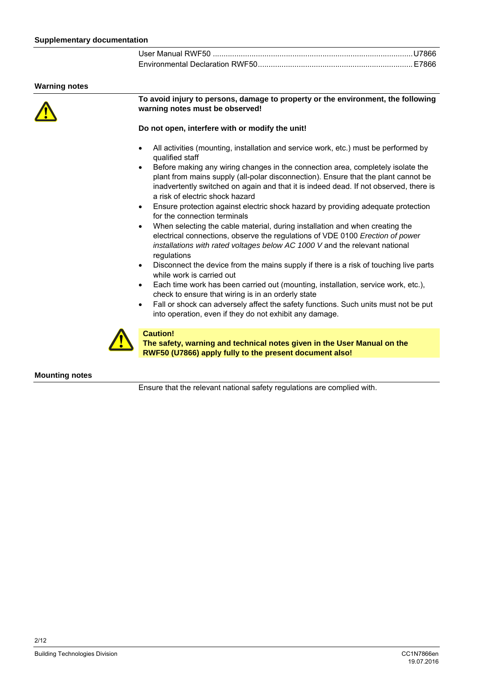| User Manual RWF50 ………………………………………………………………………………U7866 |  |
|-------------------------------------------------------|--|
|                                                       |  |

#### **Warning notes**



**To avoid injury to persons, damage to property or the environment, the following warning notes must be observed!** 

#### **Do not open, interfere with or modify the unit!**

- All activities (mounting, installation and service work, etc.) must be performed by qualified staff
- Before making any wiring changes in the connection area, completely isolate the plant from mains supply (all-polar disconnection). Ensure that the plant cannot be inadvertently switched on again and that it is indeed dead. If not observed, there is a risk of electric shock hazard
- Ensure protection against electric shock hazard by providing adequate protection for the connection terminals
- When selecting the cable material, during installation and when creating the electrical connections, observe the regulations of VDE 0100 *Erection of power installations with rated voltages below AC 1000 V* and the relevant national regulations
- Disconnect the device from the mains supply if there is a risk of touching live parts while work is carried out
- Each time work has been carried out (mounting, installation, service work, etc.), check to ensure that wiring is in an orderly state
- Fall or shock can adversely affect the safety functions. Such units must not be put into operation, even if they do not exhibit any damage.



### **Caution!**

**The safety, warning and technical notes given in the User Manual on the RWF50 (U7866) apply fully to the present document also!**

### **Mounting notes**

Ensure that the relevant national safety regulations are complied with.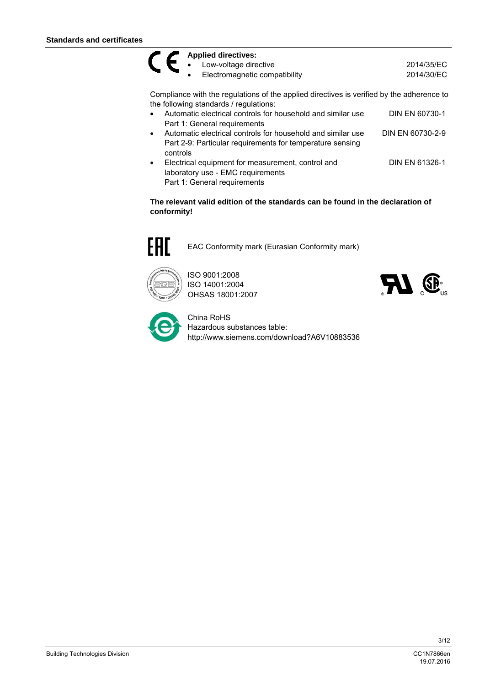### **Applied directives:**  CE

• Low-voltage directive 2014/35/EC

Electromagnetic compatibility 2014/30/EC

Compliance with the regulations of the applied directives is verified by the adherence to the following standards / regulations:

- Automatic electrical controls for household and similar use Part 1: General requirements DIN EN 60730-1
- Automatic electrical controls for household and similar use Part 2-9: Particular requirements for temperature sensing controls DIN EN 60730-2-9
- Electrical equipment for measurement, control and laboratory use - EMC requirements Part 1: General requirements DIN EN 61326-1

**The relevant valid edition of the standards can be found in the declaration of conformity!** 



EAC Conformity mark (Eurasian Conformity mark)



ISO 9001:2008 ISO 14001:2004 OHSAS 18001:2007





China RoHS Hazardous substances table: http://www.siemens.com/download?A6V10883536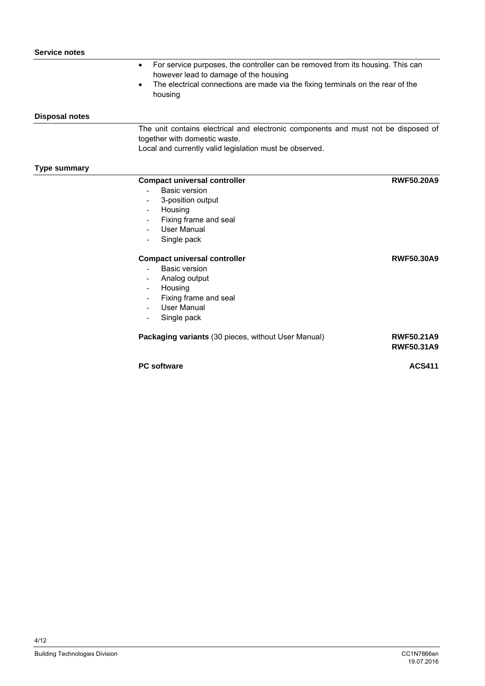|                       | For service purposes, the controller can be removed from its housing. This can<br>$\bullet$<br>however lead to damage of the housing<br>The electrical connections are made via the fixing terminals on the rear of the<br>$\bullet$ |                                        |
|-----------------------|--------------------------------------------------------------------------------------------------------------------------------------------------------------------------------------------------------------------------------------|----------------------------------------|
|                       | housing                                                                                                                                                                                                                              |                                        |
| <b>Disposal notes</b> |                                                                                                                                                                                                                                      |                                        |
|                       | The unit contains electrical and electronic components and must not be disposed of                                                                                                                                                   |                                        |
|                       | together with domestic waste.                                                                                                                                                                                                        |                                        |
|                       | Local and currently valid legislation must be observed.                                                                                                                                                                              |                                        |
| Type summary          |                                                                                                                                                                                                                                      |                                        |
|                       | <b>Compact universal controller</b>                                                                                                                                                                                                  | <b>RWF50,20A9</b>                      |
|                       | Basic version                                                                                                                                                                                                                        |                                        |
|                       | 3-position output                                                                                                                                                                                                                    |                                        |
|                       | Housing                                                                                                                                                                                                                              |                                        |
|                       | Fixing frame and seal                                                                                                                                                                                                                |                                        |
|                       | User Manual                                                                                                                                                                                                                          |                                        |
|                       | Single pack                                                                                                                                                                                                                          |                                        |
|                       | <b>Compact universal controller</b>                                                                                                                                                                                                  | <b>RWF50.30A9</b>                      |
|                       | <b>Basic version</b>                                                                                                                                                                                                                 |                                        |
|                       | Analog output                                                                                                                                                                                                                        |                                        |
|                       | Housing                                                                                                                                                                                                                              |                                        |
|                       | Fixing frame and seal                                                                                                                                                                                                                |                                        |
|                       | <b>User Manual</b>                                                                                                                                                                                                                   |                                        |
|                       | Single pack                                                                                                                                                                                                                          |                                        |
|                       | Packaging variants (30 pieces, without User Manual)                                                                                                                                                                                  | <b>RWF50.21A9</b><br><b>RWF50.31A9</b> |
|                       | <b>PC</b> software                                                                                                                                                                                                                   | <b>ACS411</b>                          |
|                       |                                                                                                                                                                                                                                      |                                        |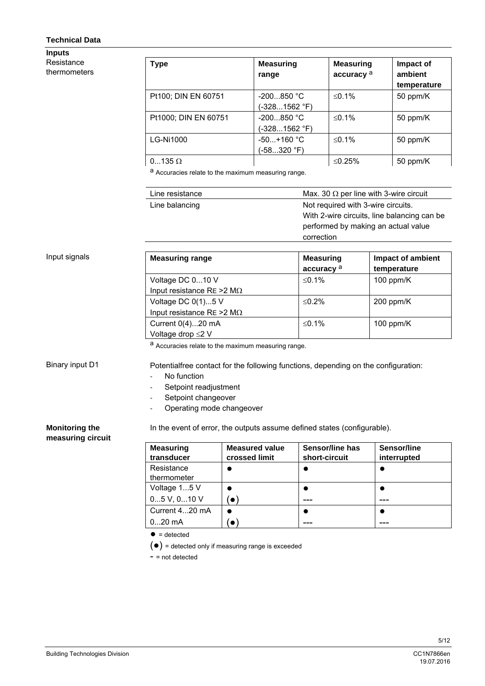### **Technical Data**

**Inputs**  Resistance thermometers

| Type                 | <b>Measuring</b><br>range     | <b>Measuring</b><br>accuracy <sup>a</sup> | Impact of<br>ambient<br>temperature |
|----------------------|-------------------------------|-------------------------------------------|-------------------------------------|
| Pt100; DIN EN 60751  | $-200850 °C$<br>(-3281562 °F) | ≤0.1%                                     | 50 ppm/K                            |
| Pt1000; DIN EN 60751 | $-200850 °C$<br>(-3281562 °F) | $≤0.1%$                                   | 50 ppm/K                            |
| <b>LG-Ni1000</b>     | $-50+160$ °C<br>(-58…320 °F)  | $≤0.1%$                                   | 50 ppm/K                            |
| $0135 \Omega$        |                               | ≤0.25%                                    | 50 ppm/K                            |

a Accuracies relate to the maximum measuring range.

| Line resistance | Max. 30 $\Omega$ per line with 3-wire circuit |
|-----------------|-----------------------------------------------|
| Line balancing  | Not required with 3-wire circuits.            |
|                 | With 2-wire circuits, line balancing can be.  |
|                 | performed by making an actual value           |
|                 | correction                                    |

### Input signals

| <b>Measuring range</b>             | <b>Measuring</b>      | Impact of ambient |
|------------------------------------|-----------------------|-------------------|
|                                    | accuracy <sup>a</sup> | temperature       |
| Voltage DC 010 V                   | $\leq$ 0.1%           | 100 ppm/ $K$      |
| Input resistance RE > 2 M $\Omega$ |                       |                   |
| Voltage DC 0(1)5 V                 | $\leq$ 0.2%           | $200$ ppm/K       |
| Input resistance RE > 2 M $\Omega$ |                       |                   |
| Current 0(4)20 mA                  | $\leq$ 0.1%           | 100 ppm/ $K$      |
| Voltage drop ≤2 V                  |                       |                   |

a Accuracies relate to the maximum measuring range.

Binary input D1

Potentialfree contact for the following functions, depending on the configuration:

- No function
- Setpoint readjustment
- Setpoint changeover
- Operating mode changeover

### **Monitoring the**

In the event of error, the outputs assume defined states (configurable).

### **measuring circuit**

**Measuring transducer Measured value crossed limit Sensor/line has short-circuit Sensor/line** 

| transducer      | crossed limit | short-circuit | interrupted |
|-----------------|---------------|---------------|-------------|
| Resistance      |               |               |             |
| thermometer     |               |               |             |
| Voltage 15 V    |               |               |             |
| $05$ V, $010$ V | $\bullet$     |               |             |
| Current 420 mA  |               |               |             |
| $020$ mA        | `o            |               |             |

 $\bullet$  = detected

(●) = detected only if measuring range is exceeded

 $-$  = not detected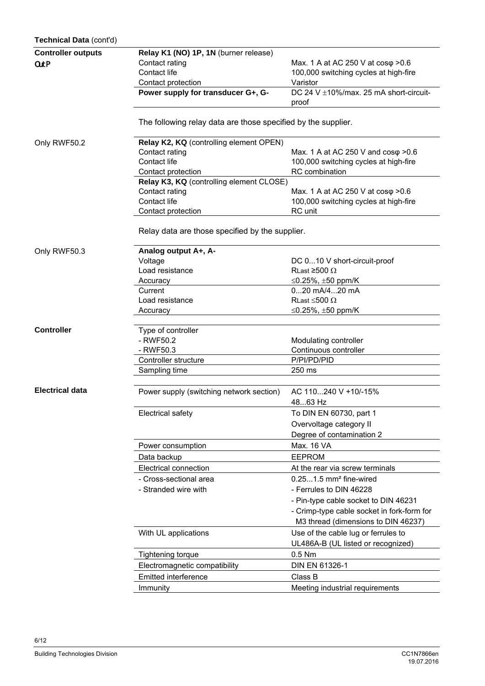| Technical Data (cont'd)   |                                                               |                                                 |  |  |
|---------------------------|---------------------------------------------------------------|-------------------------------------------------|--|--|
| <b>Controller outputs</b> | Relay K1 (NO) 1P, 1N (burner release)                         |                                                 |  |  |
| OutP                      | Contact rating                                                | Max. 1 A at AC 250 V at cosφ > 0.6              |  |  |
|                           | Contact life                                                  | 100,000 switching cycles at high-fire           |  |  |
|                           | Contact protection                                            | Varistor                                        |  |  |
|                           | Power supply for transducer G+, G-                            | DC 24 V ±10%/max. 25 mA short-circuit-<br>proof |  |  |
|                           | The following relay data are those specified by the supplier. |                                                 |  |  |
| Only RWF50.2              | Relay K2, KQ (controlling element OPEN)                       |                                                 |  |  |
|                           | Contact rating                                                | Max. 1 A at AC 250 V and $cos\varphi > 0.6$     |  |  |
|                           | Contact life                                                  | 100,000 switching cycles at high-fire           |  |  |
|                           | Contact protection                                            | RC combination                                  |  |  |
|                           | Relay K3, KQ (controlling element CLOSE)                      |                                                 |  |  |
|                           | Contact rating                                                | Max. 1 A at AC 250 V at cos $\varphi$ >0.6      |  |  |
|                           | Contact life                                                  | 100,000 switching cycles at high-fire           |  |  |
|                           | Contact protection                                            | RC unit                                         |  |  |
|                           | Relay data are those specified by the supplier.               |                                                 |  |  |
| Only RWF50.3              | Analog output A+, A-                                          |                                                 |  |  |
|                           | Voltage                                                       | DC 010 V short-circuit-proof                    |  |  |
|                           | Load resistance                                               | RLast ≥500 $\Omega$                             |  |  |
|                           | Accuracy                                                      | ≤0.25%, $±50$ ppm/K                             |  |  |
|                           | Current                                                       | 020 mA/420 mA                                   |  |  |
|                           | Load resistance                                               | RLast $\leq$ 500 $\Omega$                       |  |  |
|                           | Accuracy                                                      | ≤0.25%, $±50$ ppm/K                             |  |  |
| <b>Controller</b>         | Type of controller                                            |                                                 |  |  |
|                           | - RWF50.2                                                     | Modulating controller                           |  |  |
|                           | - RWF50.3                                                     | Continuous controller                           |  |  |
|                           | Controller structure                                          | P/PI/PD/PID                                     |  |  |
|                           | Sampling time                                                 | 250 ms                                          |  |  |
| <b>Electrical data</b>    |                                                               |                                                 |  |  |
|                           | Power supply (switching network section)                      | AC 110240 V +10/-15%<br>4863 Hz                 |  |  |
|                           |                                                               |                                                 |  |  |
|                           | Electrical safety                                             | To DIN EN 60730, part 1                         |  |  |
|                           |                                                               | Overvoltage category II                         |  |  |
|                           |                                                               | Degree of contamination 2                       |  |  |
|                           | Power consumption                                             | Max. 16 VA                                      |  |  |
|                           | Data backup                                                   | <b>EEPROM</b>                                   |  |  |
|                           | <b>Electrical connection</b>                                  | At the rear via screw terminals                 |  |  |
|                           | - Cross-sectional area                                        | $0.251.5$ mm <sup>2</sup> fine-wired            |  |  |
|                           | - Stranded wire with                                          | - Ferrules to DIN 46228                         |  |  |
|                           |                                                               | - Pin-type cable socket to DIN 46231            |  |  |
|                           |                                                               | - Crimp-type cable socket in fork-form for      |  |  |
|                           |                                                               | M3 thread (dimensions to DIN 46237)             |  |  |
|                           | With UL applications                                          | Use of the cable lug or ferrules to             |  |  |
|                           |                                                               | UL486A-B (UL listed or recognized)              |  |  |
|                           | Tightening torque                                             | $0.5$ Nm                                        |  |  |
|                           | Electromagnetic compatibility                                 | DIN EN 61326-1                                  |  |  |
|                           | Emitted interference                                          | Class B                                         |  |  |
|                           | Immunity                                                      | Meeting industrial requirements                 |  |  |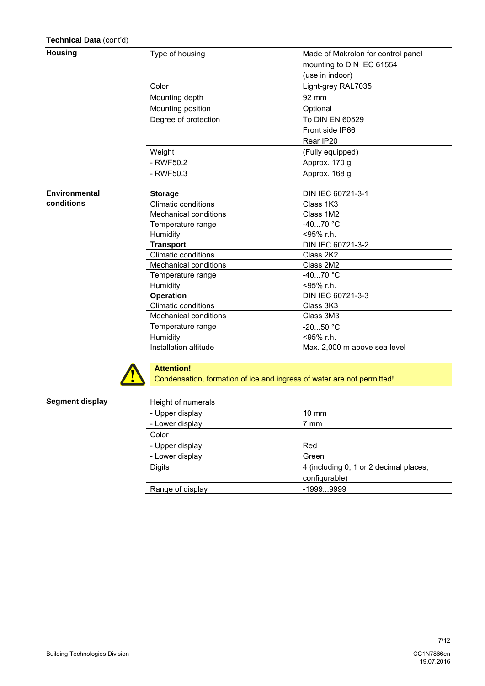### **Technical Data** (cont'd)

### **Housing**

**Environmental conditions** 

| Type of housing              | Made of Makrolon for control panel |
|------------------------------|------------------------------------|
|                              | mounting to DIN IEC 61554          |
|                              | (use in indoor)                    |
| Color                        | Light-grey RAL7035                 |
| Mounting depth               | 92 mm                              |
| Mounting position            | Optional                           |
| Degree of protection         | To DIN EN 60529                    |
|                              | Front side IP66                    |
|                              | Rear IP20                          |
| Weight                       | (Fully equipped)                   |
| - RWF50.2                    | Approx. 170 g                      |
| - RWF50.3                    | Approx. 168 g                      |
|                              |                                    |
| <b>Storage</b>               | DIN IEC 60721-3-1                  |
| Climatic conditions          | Class 1K3                          |
| <b>Mechanical conditions</b> | Class 1M2                          |
| Temperature range            | $-4070 °C$                         |
| Humidity                     | <95% r.h.                          |
| <b>Transport</b>             | DIN IEC 60721-3-2                  |
| <b>Climatic conditions</b>   | Class 2K2                          |
| <b>Mechanical conditions</b> | Class 2M2                          |
| Temperature range            | -4070 °C                           |
| Humidity                     | $<$ 95% r.h.                       |
| <b>Operation</b>             | DIN IEC 60721-3-3                  |
| <b>Climatic conditions</b>   | Class 3K3                          |
| <b>Mechanical conditions</b> | Class 3M3                          |
| Temperature range            | $-2050 °C$                         |
| Humidity                     | $<$ 95% r.h.                       |
| Installation altitude        | Max. 2,000 m above sea level       |



### **Attention!**  Condensation, formation of ice and ingress of water are not permitted!

| Height of numerals |                                        |
|--------------------|----------------------------------------|
| - Upper display    | $10 \text{ mm}$                        |
| - Lower display    | 7 mm                                   |
| Color              |                                        |
| - Upper display    | Red                                    |
| - Lower display    | Green                                  |
| <b>Digits</b>      | 4 (including 0, 1 or 2 decimal places, |
|                    | configurable)                          |
| Range of display   | $-19999999$                            |

### **Segment display**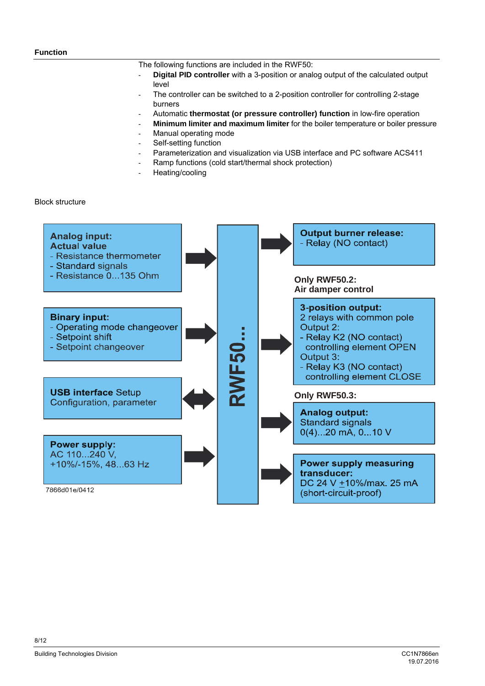### **Function**

The following functions are included in the RWF50:

- **Digital PID controller** with a 3-position or analog output of the calculated output level
- The controller can be switched to a 2-position controller for controlling 2-stage burners
- Automatic **thermostat (or pressure controller) function** in low-fire operation
- **Minimum limiter and maximum limiter** for the boiler temperature or boiler pressure
- Manual operating mode
- Self-setting function
- Parameterization and visualization via USB interface and PC software ACS411
- Ramp functions (cold start/thermal shock protection)
- Heating/cooling

Block structure

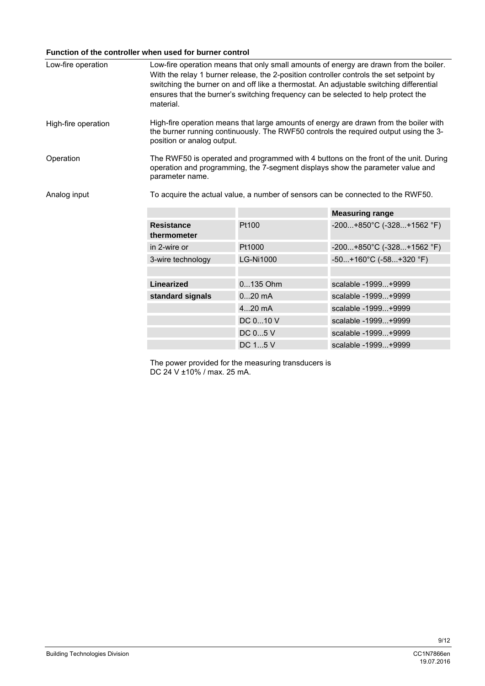### **Function of the controller when used for burner control**

| Low-fire operation  | material.                                                                       | Low-fire operation means that only small amounts of energy are drawn from the boiler.<br>With the relay 1 burner release, the 2-position controller controls the set setpoint by<br>switching the burner on and off like a thermostat. An adjustable switching differential<br>ensures that the burner's switching frequency can be selected to help protect the |                                          |  |
|---------------------|---------------------------------------------------------------------------------|------------------------------------------------------------------------------------------------------------------------------------------------------------------------------------------------------------------------------------------------------------------------------------------------------------------------------------------------------------------|------------------------------------------|--|
| High-fire operation |                                                                                 | High-fire operation means that large amounts of energy are drawn from the boiler with<br>the burner running continuously. The RWF50 controls the required output using the 3-<br>position or analog output.                                                                                                                                                      |                                          |  |
| Operation           | parameter name.                                                                 | The RWF50 is operated and programmed with 4 buttons on the front of the unit. During<br>operation and programming, the 7-segment displays show the parameter value and                                                                                                                                                                                           |                                          |  |
| Analog input        | To acquire the actual value, a number of sensors can be connected to the RWF50. |                                                                                                                                                                                                                                                                                                                                                                  |                                          |  |
|                     |                                                                                 |                                                                                                                                                                                                                                                                                                                                                                  | <b>Measuring range</b>                   |  |
|                     | <b>Resistance</b><br>thermometer                                                | Pt100                                                                                                                                                                                                                                                                                                                                                            | $-200+850^{\circ}C (-328+1562^{\circ}F)$ |  |
|                     | in 2-wire or                                                                    | Pt1000                                                                                                                                                                                                                                                                                                                                                           | $-200+850^{\circ}C (-328+1562^{\circ}F)$ |  |
|                     | 3-wire technology                                                               | <b>LG-Ni1000</b>                                                                                                                                                                                                                                                                                                                                                 | $-50+160^{\circ}C (-58+320^{\circ}F)$    |  |
|                     |                                                                                 |                                                                                                                                                                                                                                                                                                                                                                  |                                          |  |
|                     | <b>Linearized</b>                                                               | 0135 Ohm                                                                                                                                                                                                                                                                                                                                                         | scalable -1999+9999                      |  |
|                     | standard signals                                                                | $020$ mA                                                                                                                                                                                                                                                                                                                                                         | scalable -1999+9999                      |  |
|                     |                                                                                 | 420 mA                                                                                                                                                                                                                                                                                                                                                           | scalable -1999+9999                      |  |
|                     |                                                                                 | DC 010 V                                                                                                                                                                                                                                                                                                                                                         | scalable -1999+9999                      |  |

DC 1...5 V scalable -1999...+9999 The power provided for the measuring transducers is DC 24 V ±10% / max. 25 mA.

DC 0...5 V scalable -1999...+9999

Building Technologies Division CC1N7866en<br>19.07.2016 - 19.07.2016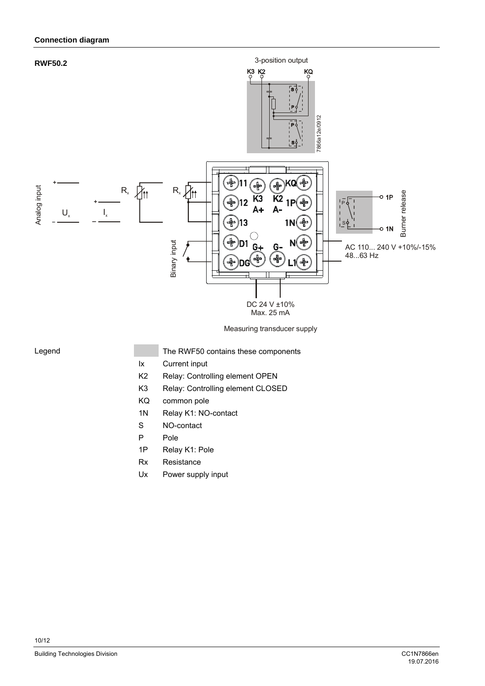

Measuring transducer supply

### Legend

- The RWF50 contains these components
- Ix Current input
- K2 Relay: Controlling element OPEN
- K3 Relay: Controlling element CLOSED
- KQ common pole
- 1N Relay K1: NO-contact
- S NO-contact
- P Pole
- 1P Relay K1: Pole
- Rx Resistance
- Ux Power supply input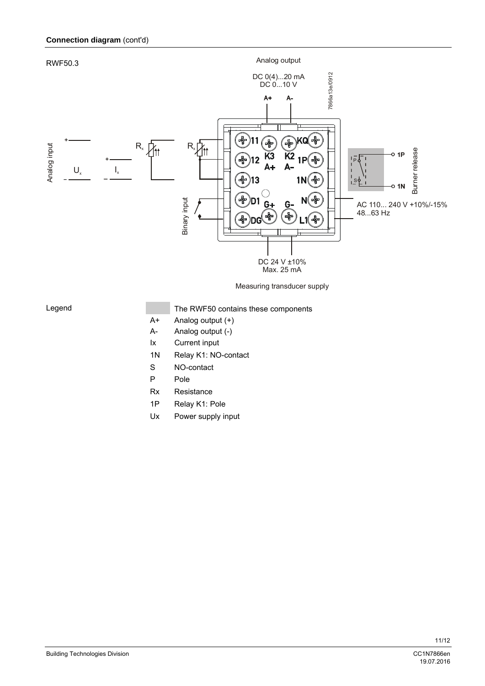

### Legend

The RWF50 contains these components

19.07.2016

- A+ Analog output (+)
- A- Analog output (-)
- Ix Current input
- 1N Relay K1: NO-contact
- S NO-contact
- P Pole
- Rx Resistance
- 1P Relay K1: Pole
- Ux Power supply input